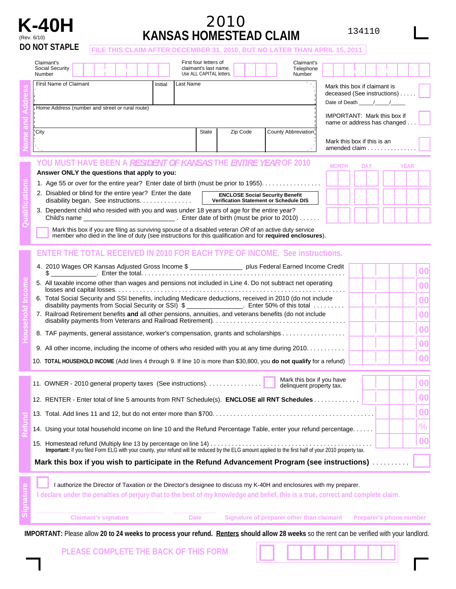

## **K-40H** <sup>2010</sup> (Rev. 6/10) **KANSAS HOMESTEAD CLAIM**

134110

| (REV. O/ IU) | <b>DO NOT STAPLE</b><br>FILE THIS CLAIM AFTER DECEMBER 31, 2010, BUT NO LATER THAN APRIL 15, 2011                                                                                                                                                                                                                                                                                                                                                                                                                                                                                                                                                                                                                                                                                                                              |         |           |                                                                            | 11998 TIOMLYTLAD VLAIM |  |                                   |  |                                                                   |                                                                                   |  |  |             |                                        |  |
|--------------|--------------------------------------------------------------------------------------------------------------------------------------------------------------------------------------------------------------------------------------------------------------------------------------------------------------------------------------------------------------------------------------------------------------------------------------------------------------------------------------------------------------------------------------------------------------------------------------------------------------------------------------------------------------------------------------------------------------------------------------------------------------------------------------------------------------------------------|---------|-----------|----------------------------------------------------------------------------|------------------------|--|-----------------------------------|--|-------------------------------------------------------------------|-----------------------------------------------------------------------------------|--|--|-------------|----------------------------------------|--|
|              | Claimant's<br>Social Security<br>Number                                                                                                                                                                                                                                                                                                                                                                                                                                                                                                                                                                                                                                                                                                                                                                                        |         |           | First four letters of<br>claimant's last name.<br>Use ALL CAPITAL letters. |                        |  | Claimant's<br>Telephone<br>Number |  |                                                                   |                                                                                   |  |  |             |                                        |  |
|              | First Name of Claimant                                                                                                                                                                                                                                                                                                                                                                                                                                                                                                                                                                                                                                                                                                                                                                                                         | Initial | Last Name |                                                                            |                        |  |                                   |  |                                                                   | Mark this box if claimant is<br>deceased (See instructions)<br>Date of Death //// |  |  |             |                                        |  |
|              | Home Address (number and street or rural route)                                                                                                                                                                                                                                                                                                                                                                                                                                                                                                                                                                                                                                                                                                                                                                                |         |           |                                                                            |                        |  |                                   |  | <b>IMPORTANT: Mark this box if</b><br>name or address has changed |                                                                                   |  |  |             |                                        |  |
|              | City<br><b>State</b><br>County Abbreviation<br>Zip Code                                                                                                                                                                                                                                                                                                                                                                                                                                                                                                                                                                                                                                                                                                                                                                        |         |           |                                                                            |                        |  |                                   |  | Mark this box if this is an<br>amended claim                      |                                                                                   |  |  |             |                                        |  |
|              | YOU MUST HAVE BEEN A <i>RESIDENT OF KANSAS</i> THE <i>ENTIRE YEAR</i> OF 2010<br>Answer ONLY the questions that apply to you:                                                                                                                                                                                                                                                                                                                                                                                                                                                                                                                                                                                                                                                                                                  |         |           |                                                                            |                        |  |                                   |  | <b>MONTH</b>                                                      | <b>DAY</b>                                                                        |  |  | <b>YEAR</b> |                                        |  |
|              | 1. Age 55 or over for the entire year? Enter date of birth (must be prior to 1955).                                                                                                                                                                                                                                                                                                                                                                                                                                                                                                                                                                                                                                                                                                                                            |         |           |                                                                            |                        |  |                                   |  |                                                                   |                                                                                   |  |  |             |                                        |  |
|              | 3. Dependent child who resided with you and was under 18 years of age for the entire year?<br>Mark this box if you are filing as surviving spouse of a disabled veteran OR of an active duty service member who died in the line of duty (see instructions for this qualification and for required enclosures).                                                                                                                                                                                                                                                                                                                                                                                                                                                                                                                |         |           |                                                                            |                        |  |                                   |  |                                                                   |                                                                                   |  |  |             |                                        |  |
|              | <b>ENTER THE TOTAL RECEIVED IN 2010 FOR EACH TYPE OF INCOME. See instructions.</b><br>4. 2010 Wages OR Kansas Adjusted Gross Income \$ __________________ plus Federal Earned Income Credit<br>5. All taxable income other than wages and pensions not included in Line 4. Do not subtract net operating<br>6. Total Social Security and SSI benefits, including Medicare deductions, received in 2010 (do not include<br>disability payments from Social Security or SSI) \$ _______________. Enter 50% of this total<br>7. Railroad Retirement benefits and all other pensions, annuities, and veterans benefits (do not include<br>8. TAF payments, general assistance, worker's compensation, grants and scholarships<br>9. All other income, including the income of others who resided with you at any time during 2010. |         |           |                                                                            |                        |  |                                   |  |                                                                   |                                                                                   |  |  |             | 00<br>00<br>00<br>00<br>00<br>00<br>00 |  |
|              | 10. TOTAL HOUSEHOLD INCOME (Add lines 4 through 9. If line 10 is more than \$30,800, you do not qualify for a refund)                                                                                                                                                                                                                                                                                                                                                                                                                                                                                                                                                                                                                                                                                                          |         |           |                                                                            |                        |  | Mark this box if you have         |  |                                                                   |                                                                                   |  |  |             | 00                                     |  |
|              | 11. OWNER - 2010 general property taxes (See instructions).<br>12. RENTER - Enter total of line 5 amounts from RNT Schedule(s). ENCLOSE all RNT Schedules                                                                                                                                                                                                                                                                                                                                                                                                                                                                                                                                                                                                                                                                      |         |           |                                                                            |                        |  | delinquent property tax.          |  |                                                                   |                                                                                   |  |  |             | 00<br>00                               |  |
|              | 14. Using your total household income on line 10 and the Refund Percentage Table, enter your refund percentage                                                                                                                                                                                                                                                                                                                                                                                                                                                                                                                                                                                                                                                                                                                 |         |           |                                                                            |                        |  |                                   |  |                                                                   |                                                                                   |  |  |             | $\%$                                   |  |
|              | Important: If you filed Form ELG with your county, your refund will be reduced by the ELG amount applied to the first half of your 2010 property tax.                                                                                                                                                                                                                                                                                                                                                                                                                                                                                                                                                                                                                                                                          |         |           |                                                                            |                        |  |                                   |  |                                                                   |                                                                                   |  |  |             | 00                                     |  |

**Mark this box if you wish to participate in the Refund Advancement Program (see instructions)** ...........

|           |  | I authorize the Director of Taxation or the Director's designee to discuss my K-40H and enclosures with my preparer.              |  |
|-----------|--|-----------------------------------------------------------------------------------------------------------------------------------|--|
| Signature |  | I declare under the penalties of perjury that to the best of my knowledge and belief, this is a true, correct and complete claim. |  |
|           |  | Signature of preparer other than claimant                                                                                         |  |

**Preparer's phone number** 

IMPORTANT: Please allow 20 to 24 weeks to process your refund. Renters should allow 28 weeks so the rent can be verified with your landlord.

**PLEASE COMPLETE THE BACK OF THIS FORM**